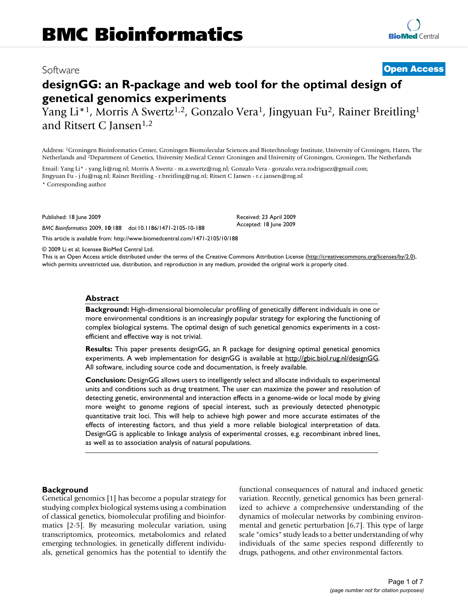### Software **[Open Access](http://www.biomedcentral.com/info/about/charter/)**

## **designGG: an R-package and web tool for the optimal design of genetical genomics experiments**

Yang Li<sup>\*1</sup>, Morris A Swertz<sup>1,2</sup>, Gonzalo Vera<sup>1</sup>, Jingyuan Fu<sup>2</sup>, Rainer Breitling<sup>1</sup> and Ritsert C Jansen<sup>1,2</sup>

Address: 1Groningen Bioinformatics Center, Groningen Biomolecular Sciences and Biotechnology Institute, University of Groningen, Haren, The Netherlands and 2Department of Genetics, University Medical Center Groningen and University of Groningen, Groningen, The Netherlands

Email: Yang Li\* - yang.li@rug.nl; Morris A Swertz - m.a.swertz@rug.nl; Gonzalo Vera - gonzalo.vera.rodriguez@gmail.com; Jingyuan Fu - j.fu@rug.nl; Rainer Breitling - r.breitling@rug.nl; Ritsert C Jansen - r.c.jansen@rug.nl \* Corresponding author

Published: 18 June 2009

*BMC Bioinformatics* 2009, **10**:188 doi:10.1186/1471-2105-10-188

[This article is available from: http://www.biomedcentral.com/1471-2105/10/188](http://www.biomedcentral.com/1471-2105/10/188)

© 2009 Li et al; licensee BioMed Central Ltd.

This is an Open Access article distributed under the terms of the Creative Commons Attribution License [\(http://creativecommons.org/licenses/by/2.0\)](http://creativecommons.org/licenses/by/2.0), which permits unrestricted use, distribution, and reproduction in any medium, provided the original work is properly cited.

Received: 23 April 2009 Accepted: 18 June 2009

#### **Abstract**

**Background:** High-dimensional biomolecular profiling of genetically different individuals in one or more environmental conditions is an increasingly popular strategy for exploring the functioning of complex biological systems. The optimal design of such genetical genomics experiments in a costefficient and effective way is not trivial.

**Results:** This paper presents designGG, an R package for designing optimal genetical genomics experiments. A web implementation for designGG is available at <http://gbic.biol.rug.nl/designGG>. All software, including source code and documentation, is freely available.

**Conclusion:** DesignGG allows users to intelligently select and allocate individuals to experimental units and conditions such as drug treatment. The user can maximize the power and resolution of detecting genetic, environmental and interaction effects in a genome-wide or local mode by giving more weight to genome regions of special interest, such as previously detected phenotypic quantitative trait loci. This will help to achieve high power and more accurate estimates of the effects of interesting factors, and thus yield a more reliable biological interpretation of data. DesignGG is applicable to linkage analysis of experimental crosses, e.g. recombinant inbred lines, as well as to association analysis of natural populations.

#### **Background**

Genetical genomics [1] has become a popular strategy for studying complex biological systems using a combination of classical genetics, biomolecular profiling and bioinformatics [2-5]. By measuring molecular variation, using transcriptomics, proteomics, metabolomics and related emerging technologies, in genetically different individuals, genetical genomics has the potential to identify the functional consequences of natural and induced genetic variation. Recently, genetical genomics has been generalized to achieve a comprehensive understanding of the dynamics of molecular networks by combining environmental and genetic perturbation [6,7]. This type of large scale "omics" study leads to a better understanding of why individuals of the same species respond differently to drugs, pathogens, and other environmental factors.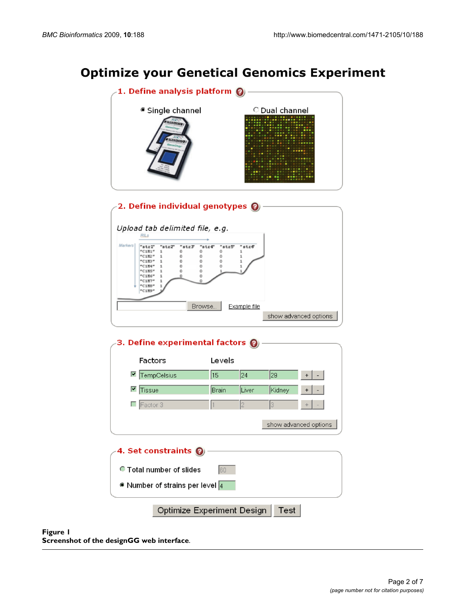# **Optimize your Genetical Genomics Experiment**



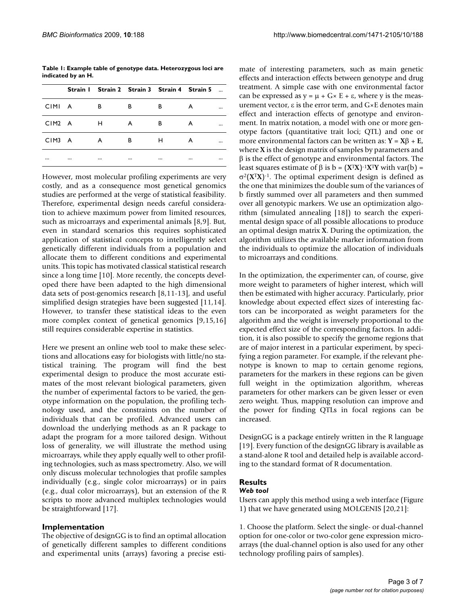**Table 1: Example table of genotype data. Heterozygous loci are indicated by an H.**

|        | Strain   Strain 2 Strain 3 Strain 4 Strain 5 |   |   |   |  |
|--------|----------------------------------------------|---|---|---|--|
| CIMI A | в                                            | в | в | А |  |
| CIM2 A | H                                            | A | B | А |  |
| CIM3 A | A                                            | в | н | A |  |
|        | <br>                                         |   |   |   |  |

However, most molecular profiling experiments are very costly, and as a consequence most genetical genomics studies are performed at the verge of statistical feasibility. Therefore, experimental design needs careful consideration to achieve maximum power from limited resources, such as microarrays and experimental animals [8,9]. But, even in standard scenarios this requires sophisticated application of statistical concepts to intelligently select genetically different individuals from a population and allocate them to different conditions and experimental units. This topic has motivated classical statistical research since a long time [10]. More recently, the concepts developed there have been adapted to the high dimensional data sets of post-genomics research [8,11-13], and useful simplified design strategies have been suggested [11,14]. However, to transfer these statistical ideas to the even more complex context of genetical genomics [9,15,16] still requires considerable expertise in statistics.

Here we present an online web tool to make these selections and allocations easy for biologists with little/no statistical training. The program will find the best experimental design to produce the most accurate estimates of the most relevant biological parameters, given the number of experimental factors to be varied, the genotype information on the population, the profiling technology used, and the constraints on the number of individuals that can be profiled. Advanced users can download the underlying methods as an R package to adapt the program for a more tailored design. Without loss of generality, we will illustrate the method using microarrays, while they apply equally well to other profiling technologies, such as mass spectrometry. Also, we will only discuss molecular technologies that profile samples individually (e.g., single color microarrays) or in pairs (e.g., dual color microarrays), but an extension of the R scripts to more advanced multiplex technologies would be straightforward [17].

#### **Implementation**

The objective of designGG is to find an optimal allocation of genetically different samples to different conditions and experimental units (arrays) favoring a precise estimate of interesting parameters, such as main genetic effects and interaction effects between genotype and drug treatment. A simple case with one environmental factor can be expressed as  $y = \mu + G \times E + \varepsilon$ , where y is the measurement vector, ε is the error term, and G×E denotes main effect and interaction effects of genotype and environment. In matrix notation, a model with one or more genotype factors (quantitative trait loci; QTL) and one or more environmental factors can be written as: **Y** = **X**β + **E**, where **X** is the design matrix of samples by parameters and  $β$  is the effect of genotype and environmental factors. The least squares estimate of β is b = (**X**<sup>T</sup>**X**)-1**X**<sup>T</sup>**Y** with var(b) = σ2(**X**<sup>T</sup>**X**)-1. The optimal experiment design is defined as the one that minimizes the double sum of the variances of b firstly summed over all parameters and then summed over all genotypic markers. We use an optimization algorithm (simulated annealing [18]) to search the experimental design space of all possible allocations to produce an optimal design matrix **X**. During the optimization, the algorithm utilizes the available marker information from the individuals to optimize the allocation of individuals to microarrays and conditions.

In the optimization, the experimenter can, of course, give more weight to parameters of higher interest, which will then be estimated with higher accuracy. Particularly, prior knowledge about expected effect sizes of interesting factors can be incorporated as weight parameters for the algorithm and the weight is inversely proportional to the expected effect size of the corresponding factors. In addition, it is also possible to specify the genome regions that are of major interest in a particular experiment, by specifying a region parameter. For example, if the relevant phenotype is known to map to certain genome regions, parameters for the markers in these regions can be given full weight in the optimization algorithm, whereas parameters for other markers can be given lesser or even zero weight. Thus, mapping resolution can improve and the power for finding QTLs in focal regions can be increased.

DesignGG is a package entirely written in the R language [19]. Every function of the designGG library is available as a stand-alone R tool and detailed help is available according to the standard format of R documentation.

#### **Results**

#### *Web tool*

Users can apply this method using a web interface (Figure 1) that we have generated using MOLGENIS [20,21]:

1. Choose the platform. Select the single- or dual-channel option for one-color or two-color gene expression microarrays (the dual-channel option is also used for any other technology profiling pairs of samples).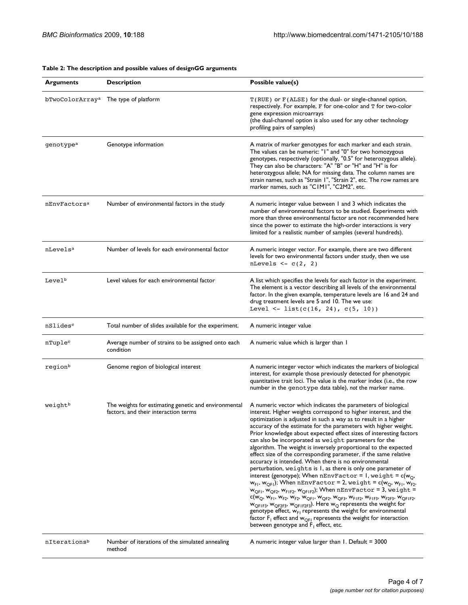| <b>Arguments</b>         | <b>Description</b>                                                                           | Possible value(s)                                                                                                                                                                                                                                                                                                                                                                                                                                                                                                                                                                                                                                                                                                                                                                                                                                                                                                                                                                                                                                                                                                                                                                                                                                                                                                                                                                                                                                                                                        |
|--------------------------|----------------------------------------------------------------------------------------------|----------------------------------------------------------------------------------------------------------------------------------------------------------------------------------------------------------------------------------------------------------------------------------------------------------------------------------------------------------------------------------------------------------------------------------------------------------------------------------------------------------------------------------------------------------------------------------------------------------------------------------------------------------------------------------------------------------------------------------------------------------------------------------------------------------------------------------------------------------------------------------------------------------------------------------------------------------------------------------------------------------------------------------------------------------------------------------------------------------------------------------------------------------------------------------------------------------------------------------------------------------------------------------------------------------------------------------------------------------------------------------------------------------------------------------------------------------------------------------------------------------|
| bTwoColorArrayª          | The type of platform                                                                         | T (RUE) or F (ALSE) for the dual- or single-channel option,<br>respectively. For example, F for one-color and T for two-color<br>gene expression microarrays<br>(the dual-channel option is also used for any other technology<br>profiling pairs of samples)                                                                                                                                                                                                                                                                                                                                                                                                                                                                                                                                                                                                                                                                                                                                                                                                                                                                                                                                                                                                                                                                                                                                                                                                                                            |
| genotype <sup>a</sup>    | Genotype information                                                                         | A matrix of marker genotypes for each marker and each strain.<br>The values can be numeric: "I" and "0" for two homozygous<br>genotypes, respectively (optionally, "0.5" for heterozygous allele).<br>They can also be characters: "A" "B" or "H" and "H" is for<br>heterozygous allele; NA for missing data. The column names are<br>strain names, such as "Strain I", "Strain 2", etc. The row names are<br>marker names, such as "CIMI", "C2M2", etc.                                                                                                                                                                                                                                                                                                                                                                                                                                                                                                                                                                                                                                                                                                                                                                                                                                                                                                                                                                                                                                                 |
| nEnvFactors <sup>a</sup> | Number of environmental factors in the study                                                 | A numeric integer value between 1 and 3 which indicates the<br>number of environmental factors to be studied. Experiments with<br>more than three environmental factor are not recommended here<br>since the power to estimate the high-order interactions is very<br>limited for a realistic number of samples (several hundreds).                                                                                                                                                                                                                                                                                                                                                                                                                                                                                                                                                                                                                                                                                                                                                                                                                                                                                                                                                                                                                                                                                                                                                                      |
| nLevels <sup>a</sup>     | Number of levels for each environmental factor                                               | A numeric integer vector. For example, there are two different<br>levels for two environmental factors under study, then we use<br>nLevels $\leq -c(2, 2)$                                                                                                                                                                                                                                                                                                                                                                                                                                                                                                                                                                                                                                                                                                                                                                                                                                                                                                                                                                                                                                                                                                                                                                                                                                                                                                                                               |
| Level <sup>b</sup>       | Level values for each environmental factor                                                   | A list which specifies the levels for each factor in the experiment.<br>The element is a vector describing all levels of the environmental<br>factor. In the given example, temperature levels are 16 and 24 and<br>drug treatment levels are 5 and 10. The we use:<br>Level <- list( $c(16, 24)$ , $c(5, 10)$ )                                                                                                                                                                                                                                                                                                                                                                                                                                                                                                                                                                                                                                                                                                                                                                                                                                                                                                                                                                                                                                                                                                                                                                                         |
| nSlides <sup>c</sup>     | Total number of slides available for the experiment.                                         | A numeric integer value                                                                                                                                                                                                                                                                                                                                                                                                                                                                                                                                                                                                                                                                                                                                                                                                                                                                                                                                                                                                                                                                                                                                                                                                                                                                                                                                                                                                                                                                                  |
| nTuplec                  | Average number of strains to be assigned onto each<br>condition                              | A numeric value which is larger than I                                                                                                                                                                                                                                                                                                                                                                                                                                                                                                                                                                                                                                                                                                                                                                                                                                                                                                                                                                                                                                                                                                                                                                                                                                                                                                                                                                                                                                                                   |
| regionb                  | Genome region of biological interest                                                         | A numeric integer vector which indicates the markers of biological<br>interest, for example those previously detected for phenotypic<br>quantitative trait loci. The value is the marker index (i.e., the row<br>number in the genotype data table), not the marker name.                                                                                                                                                                                                                                                                                                                                                                                                                                                                                                                                                                                                                                                                                                                                                                                                                                                                                                                                                                                                                                                                                                                                                                                                                                |
| weightb                  | The weights for estimating genetic and environmental<br>factors, and their interaction terms | A numeric vector which indicates the parameters of biological<br>interest. Higher weights correspond to higher interest, and the<br>optimization is adjusted in such a way as to result in a higher<br>accuracy of the estimate for the parameters with higher weight.<br>Prior knowledge about expected effect sizes of interesting factors<br>can also be incorporated as weight parameters for the<br>algorithm. The weight is inversely proportional to the expected<br>effect size of the corresponding parameter, if the same relative<br>accuracy is intended. When there is no environmental<br>perturbation, weights is 1, as there is only one parameter of<br>interest (genotype); When $nEnvFactor = 1$ , weight = $c(w_0,$<br>$w_{F1}$ , $w_{OF1}$ ); When nEnvFactor = 2, weight = c( $w_0$ , $w_{F1}$ , $w_{F2}$ ,<br>$w_{QFI}$ , $w_{QF2}$ , $w_{FIF2}$ , $w_{QFIF2}$ ); When nEnvFactor = 3, weight =<br>${\sf c}({\sf w}_{\sf Q},\,{\sf w}_{{\sf F}1},\,{\sf w}_{{\sf F}2},\,{\sf w}_{{\sf F}2},\,{\sf w}_{{\sf QF}1},\,{\sf w}_{{\sf QF}2},\,{\sf w}_{{\sf QF}3},\,{\sf w}_{{\sf F}1{\sf F}2},\,{\sf w}_{{\sf F}1{\sf F}3},\,{\sf w}_{{\sf F}2{\sf F}3},\,{\sf w}_{{\sf QF}1{\sf F}2},$<br>$w_{QF1F3}$ , $w_{QF2F3}$ , $w_{QF1F2F3}$ ). Here $w_Q$ represents the weight for<br>genotype effect, w <sub>FI</sub> represents the weight for environmental<br>factor $F_1$ effect and $w_{\text{OF}1}$ represents the weight for interaction<br>between genotype and $F_1$ effect, etc. |
| nIterationsb             | Number of iterations of the simulated annealing<br>method                                    | A numeric integer value larger than 1. Default = 3000                                                                                                                                                                                                                                                                                                                                                                                                                                                                                                                                                                                                                                                                                                                                                                                                                                                                                                                                                                                                                                                                                                                                                                                                                                                                                                                                                                                                                                                    |

#### **Table 2: The description and possible values of designGG arguments**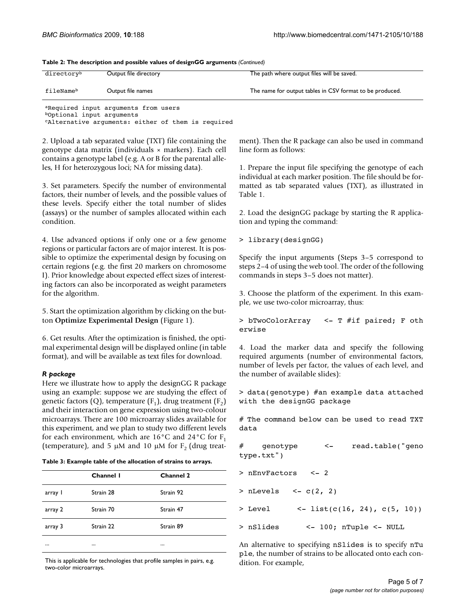| directoryb            | Output file directory | The path where output files will be saved.               |
|-----------------------|-----------------------|----------------------------------------------------------|
| fileName <sup>b</sup> | Output file names     | The name for output tables in CSV format to be produced. |

**Table 2: The description and possible values of designGG arguments** *(Continued)*

aRequired input arguments from users bOptional input arguments

cAlternative arguments: either of them is required

2. Upload a tab separated value (TXT) file containing the genotype data matrix (individuals × markers). Each cell contains a genotype label (e.g. A or B for the parental alleles, H for heterozygous loci; NA for missing data).

3. Set parameters. Specify the number of environmental factors, their number of levels, and the possible values of these levels. Specify either the total number of slides (assays) or the number of samples allocated within each condition.

4. Use advanced options if only one or a few genome regions or particular factors are of major interest. It is possible to optimize the experimental design by focusing on certain regions (e.g. the first 20 markers on chromosome I). Prior knowledge about expected effect sizes of interesting factors can also be incorporated as weight parameters for the algorithm.

5. Start the optimization algorithm by clicking on the button **Optimize Experimental Design** (Figure 1).

6. Get results. After the optimization is finished, the optimal experimental design will be displayed online (in table format), and will be available as text files for download.

#### *R package*

Here we illustrate how to apply the designGG R package using an example: suppose we are studying the effect of genetic factors (Q), temperature  $(F_1)$ , drug treatment  $(F_2)$ and their interaction on gene expression using two-colour microarrays. There are 100 microarray slides available for this experiment, and we plan to study two different levels for each environment, which are  $16^{\circ}$ C and  $24^{\circ}$ C for F<sub>1</sub> (temperature), and 5 μM and 10 μM for  $F_2$  (drug treat-

| Table 3: Example table of the allocation of strains to arrays. |  |  |
|----------------------------------------------------------------|--|--|
|----------------------------------------------------------------|--|--|

|         | Channel I | <b>Channel 2</b> |
|---------|-----------|------------------|
| array l | Strain 28 | Strain 92        |
| array 2 | Strain 70 | Strain 47        |
| array 3 | Strain 22 | Strain 89        |
|         |           |                  |

This is applicable for technologies that profile samples in pairs, e.g. two-color microarrays.

ment). Then the R package can also be used in command line form as follows:

1. Prepare the input file specifying the genotype of each individual at each marker position. The file should be formatted as tab separated values (TXT), as illustrated in Table 1.

2. Load the designGG package by starting the R application and typing the command:

```
> library(designGG)
```
Specify the input arguments (Steps 3–5 correspond to steps 2–4 of using the web tool. The order of the following commands in steps 3–5 does not matter).

3. Choose the platform of the experiment. In this example, we use two-color microarray, thus:

```
> bTwoColorArray <- T #if paired; F oth
erwise
```
4. Load the marker data and specify the following required arguments (number of environmental factors, number of levels per factor, the values of each level, and the number of available slides):

> data(genotype) #an example data attached with the designGG package

# The command below can be used to read TXT data

genotype <- read.table("geno type.txt")

> nEnvFactors <- 2

 $>$  nLevels  $<-c(2, 2)$ 

- $>$  Level <- list(c(16, 24), c(5, 10))
- > nSlides <- 100; nTuple <- NULL

An alternative to specifying nSlides is to specify nTu ple, the number of strains to be allocated onto each condition. For example,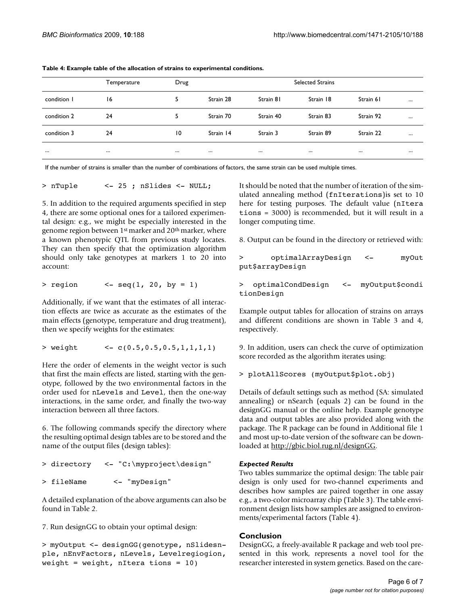|             | Temperature | Drug |           |           | <b>Selected Strains</b> |           |          |
|-------------|-------------|------|-----------|-----------|-------------------------|-----------|----------|
| condition I | 16          | 5    | Strain 28 | Strain 81 | Strain 18               | Strain 61 | $\cdots$ |
| condition 2 | 24          | 5    | Strain 70 | Strain 40 | Strain 83               | Strain 92 |          |
| condition 3 | 24          | 10   | Strain 14 | Strain 3  | Strain 89               | Strain 22 |          |
| $\cdots$    | $\cdots$    |      |           |           | $\cdots$                |           | $$       |

**Table 4: Example table of the allocation of strains to experimental conditions.** 

If the number of strains is smaller than the number of combinations of factors, the same strain can be used multiple times.

```
> nTuple <- 25 ; nSlides <- NULL;
```
5. In addition to the required arguments specified in step 4, there are some optional ones for a tailored experimental design: e.g., we might be especially interested in the genome region between 1st marker and 20th marker, where a known phenotypic QTL from previous study locates. They can then specify that the optimization algorithm should only take genotypes at markers 1 to 20 into account:

 $>$  region <- seq(1, 20, by = 1)

Additionally, if we want that the estimates of all interaction effects are twice as accurate as the estimates of the main effects (genotype, temperature and drug treatment), then we specify weights for the estimates:

```
> weight <- c(0.5,0.5,0.5,1,1,1,1)
```
Here the order of elements in the weight vector is such that first the main effects are listed, starting with the genotype, followed by the two environmental factors in the order used for nLevels and Level, then the one-way interactions, in the same order, and finally the two-way interaction between all three factors.

6. The following commands specify the directory where the resulting optimal design tables are to be stored and the name of the output files (design tables):

```
> directory <- "C:\myproject\design"
> fileName <- "myDesign"
```
A detailed explanation of the above arguments can also be found in Table 2.

7. Run designGG to obtain your optimal design:

```
> myOutput <- designGG(genotype, nSlidesn-
ple, nEnvFactors, nLevels, Levelregiogion,
weight = weight, nItera tions = 10)
```
It should be noted that the number of iteration of the simulated annealing method (fnIterations)is set to 10 here for testing purposes. The default value (nItera tions = 3000) is recommended, but it will result in a longer computing time.

8. Output can be found in the directory or retrieved with:

```
> optimalArrayDesign <- myOut
put$arrayDesign
```
> optimalCondDesign <- myOutput\$condi tionDesign

Example output tables for allocation of strains on arrays and different conditions are shown in Table 3 and 4, respectively.

9. In addition, users can check the curve of optimization score recorded as the algorithm iterates using:

> plotAllScores (myOutput\$plot.obj)

Details of default settings such as method (SA: simulated annealing) or nSearch (equals 2) can be found in the designGG manual or the online help. Example genotype data and output tables are also provided along with the package. The R package can be found in Additional file 1 and most up-to-date version of the software can be downloaded at <http://gbic.biol.rug.nl/designGG>.

#### *Expected Results*

Two tables summarize the optimal design: The table pair design is only used for two-channel experiments and describes how samples are paired together in one assay e.g., a two-color microarray chip (Table 3). The table environment design lists how samples are assigned to environments/experimental factors (Table 4).

#### **Conclusion**

DesignGG, a freely-available R package and web tool presented in this work, represents a novel tool for the researcher interested in system genetics. Based on the care